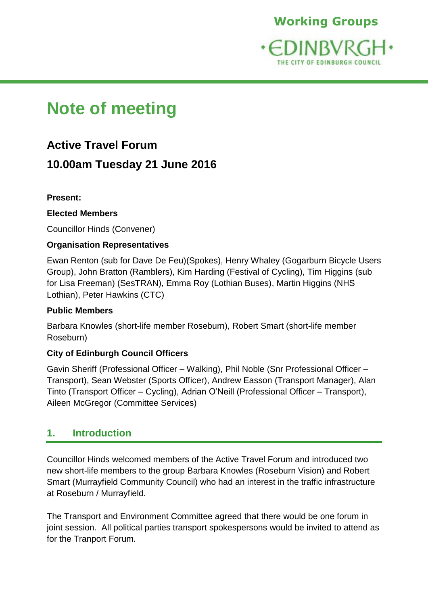

# **Note of meeting**

# **Active Travel Forum**

# **10.00am Tuesday 21 June 2016**

### **Present:**

### **Elected Members**

Councillor Hinds (Convener)

# **Organisation Representatives**

Ewan Renton (sub for Dave De Feu)(Spokes), Henry Whaley (Gogarburn Bicycle Users Group), John Bratton (Ramblers), Kim Harding (Festival of Cycling), Tim Higgins (sub for Lisa Freeman) (SesTRAN), Emma Roy (Lothian Buses), Martin Higgins (NHS Lothian), Peter Hawkins (CTC)

### **Public Members**

Barbara Knowles (short-life member Roseburn), Robert Smart (short-life member Roseburn)

# **City of Edinburgh Council Officers**

Gavin Sheriff (Professional Officer – Walking), Phil Noble (Snr Professional Officer – Transport), Sean Webster (Sports Officer), Andrew Easson (Transport Manager), Alan Tinto (Transport Officer – Cycling), Adrian O'Neill (Professional Officer – Transport), Aileen McGregor (Committee Services)

# **1. Introduction**

Councillor Hinds welcomed members of the Active Travel Forum and introduced two new short-life members to the group Barbara Knowles (Roseburn Vision) and Robert Smart (Murrayfield Community Council) who had an interest in the traffic infrastructure at Roseburn / Murrayfield.

The Transport and Environment Committee agreed that there would be one forum in joint session. All political parties transport spokespersons would be invited to attend as for the Tranport Forum.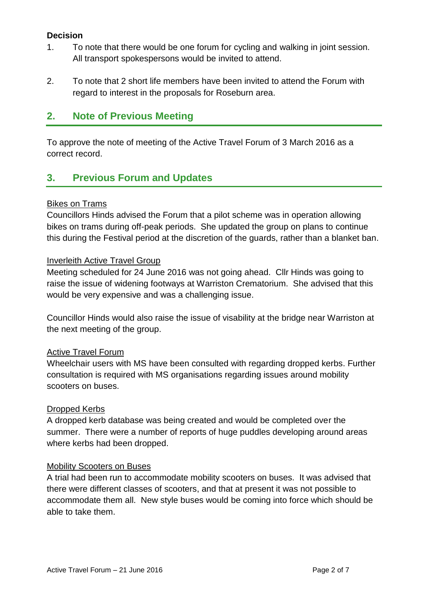#### **Decision**

- 1. To note that there would be one forum for cycling and walking in joint session. All transport spokespersons would be invited to attend.
- 2. To note that 2 short life members have been invited to attend the Forum with regard to interest in the proposals for Roseburn area.

# **2. Note of Previous Meeting**

To approve the note of meeting of the Active Travel Forum of 3 March 2016 as a correct record.

# **3. Previous Forum and Updates**

#### Bikes on Trams

Councillors Hinds advised the Forum that a pilot scheme was in operation allowing bikes on trams during off-peak periods. She updated the group on plans to continue this during the Festival period at the discretion of the guards, rather than a blanket ban.

#### Inverleith Active Travel Group

Meeting scheduled for 24 June 2016 was not going ahead. Cllr Hinds was going to raise the issue of widening footways at Warriston Crematorium. She advised that this would be very expensive and was a challenging issue.

Councillor Hinds would also raise the issue of visability at the bridge near Warriston at the next meeting of the group.

#### Active Travel Forum

Wheelchair users with MS have been consulted with regarding dropped kerbs. Further consultation is required with MS organisations regarding issues around mobility scooters on buses.

#### Dropped Kerbs

A dropped kerb database was being created and would be completed over the summer. There were a number of reports of huge puddles developing around areas where kerbs had been dropped.

#### Mobility Scooters on Buses

A trial had been run to accommodate mobility scooters on buses. It was advised that there were different classes of scooters, and that at present it was not possible to accommodate them all. New style buses would be coming into force which should be able to take them.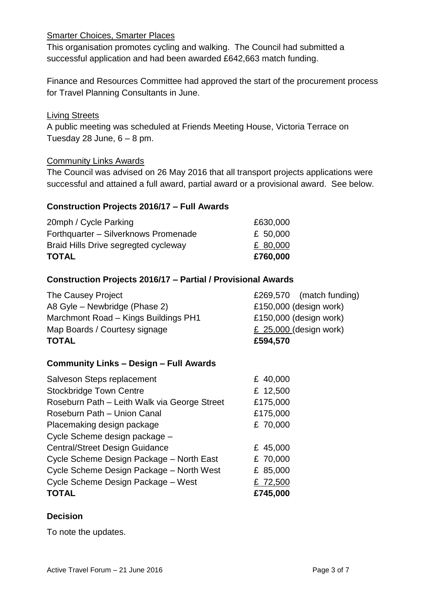#### Smarter Choices, Smarter Places

This organisation promotes cycling and walking. The Council had submitted a successful application and had been awarded £642,663 match funding.

Finance and Resources Committee had approved the start of the procurement process for Travel Planning Consultants in June.

#### Living Streets

A public meeting was scheduled at Friends Meeting House, Victoria Terrace on Tuesday 28 June,  $6 - 8$  pm.

#### Community Links Awards

The Council was advised on 26 May 2016 that all transport projects applications were successful and attained a full award, partial award or a provisional award. See below.

#### **Construction Projects 2016/17 – Full Awards**

| <b>TOTAL</b>                         | £760,000 |
|--------------------------------------|----------|
| Braid Hills Drive segregted cycleway | £ 80,000 |
| Forthquarter - Silverknows Promenade | £ 50,000 |
| 20mph / Cycle Parking                | £630,000 |

#### **Construction Projects 2016/17 – Partial / Provisional Awards**

| <b>TOTAL</b>                         | £594,570                 |
|--------------------------------------|--------------------------|
| Map Boards / Courtesy signage        | £ $25,000$ (design work) |
| Marchmont Road - Kings Buildings PH1 | £150,000 (design work)   |
| A8 Gyle – Newbridge (Phase 2)        | £150,000 (design work)   |
| The Causey Project                   | £269,570 (match funding) |

#### **Community Links – Design – Full Awards**

| Roseburn Path - Union Canal              | £175,000 |
|------------------------------------------|----------|
| Placemaking design package               | £ 70,000 |
| Cycle Scheme design package -            |          |
| <b>Central/Street Design Guidance</b>    | £ 45,000 |
| Cycle Scheme Design Package - North East | £ 70,000 |
| Cycle Scheme Design Package - North West | £ 85,000 |
| Cycle Scheme Design Package - West       | £ 72,500 |
| <b>TOTAL</b>                             | £745,000 |

#### **Decision**

To note the updates.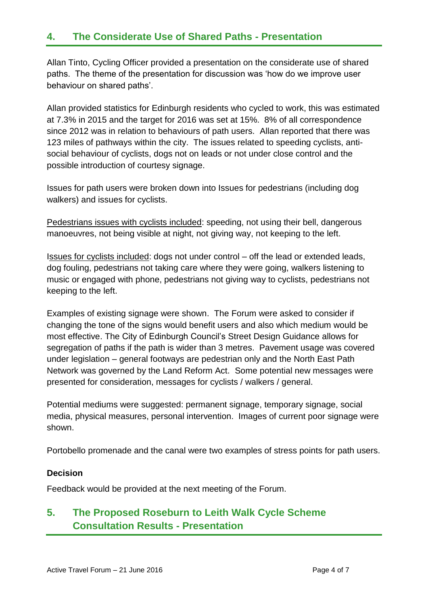# **4. The Considerate Use of Shared Paths - Presentation**

Allan Tinto, Cycling Officer provided a presentation on the considerate use of shared paths. The theme of the presentation for discussion was 'how do we improve user behaviour on shared paths'.

Allan provided statistics for Edinburgh residents who cycled to work, this was estimated at 7.3% in 2015 and the target for 2016 was set at 15%. 8% of all correspondence since 2012 was in relation to behaviours of path users. Allan reported that there was 123 miles of pathways within the city. The issues related to speeding cyclists, antisocial behaviour of cyclists, dogs not on leads or not under close control and the possible introduction of courtesy signage.

Issues for path users were broken down into Issues for pedestrians (including dog walkers) and issues for cyclists.

Pedestrians issues with cyclists included: speeding, not using their bell, dangerous manoeuvres, not being visible at night, not giving way, not keeping to the left.

Issues for cyclists included: dogs not under control – off the lead or extended leads, dog fouling, pedestrians not taking care where they were going, walkers listening to music or engaged with phone, pedestrians not giving way to cyclists, pedestrians not keeping to the left.

Examples of existing signage were shown. The Forum were asked to consider if changing the tone of the signs would benefit users and also which medium would be most effective. The City of Edinburgh Council's Street Design Guidance allows for segregation of paths if the path is wider than 3 metres. Pavement usage was covered under legislation – general footways are pedestrian only and the North East Path Network was governed by the Land Reform Act. Some potential new messages were presented for consideration, messages for cyclists / walkers / general.

Potential mediums were suggested: permanent signage, temporary signage, social media, physical measures, personal intervention. Images of current poor signage were shown.

Portobello promenade and the canal were two examples of stress points for path users.

#### **Decision**

Feedback would be provided at the next meeting of the Forum.

# **5. The Proposed Roseburn to Leith Walk Cycle Scheme Consultation Results - Presentation**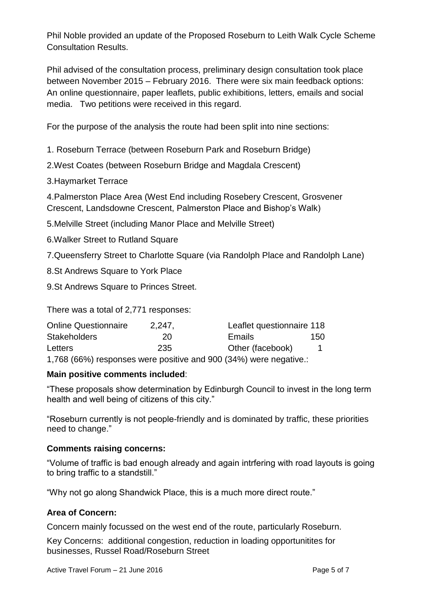Phil Noble provided an update of the Proposed Roseburn to Leith Walk Cycle Scheme Consultation Results.

Phil advised of the consultation process, preliminary design consultation took place between November 2015 – February 2016. There were six main feedback options: An online questionnaire, paper leaflets, public exhibitions, letters, emails and social media. Two petitions were received in this regard.

For the purpose of the analysis the route had been split into nine sections:

1. Roseburn Terrace (between Roseburn Park and Roseburn Bridge)

2.West Coates (between Roseburn Bridge and Magdala Crescent)

3.Haymarket Terrace

4.Palmerston Place Area (West End including Rosebery Crescent, Grosvener Crescent, Landsdowne Crescent, Palmerston Place and Bishop's Walk)

5.Melville Street (including Manor Place and Melville Street)

6.Walker Street to Rutland Square

7.Queensferry Street to Charlotte Square (via Randolph Place and Randolph Lane)

8.St Andrews Square to York Place

9.St Andrews Square to Princes Street.

There was a total of 2,771 responses:

| <b>Online Questionnaire</b> | 2,247, | Leaflet questionnaire 118 |      |
|-----------------------------|--------|---------------------------|------|
| <b>Stakeholders</b>         | 20     | <b>Emails</b>             | 150. |
| Letters                     | 235    | Other (facebook)          |      |
|                             |        |                           |      |

1,768 (66%) responses were positive and 900 (34%) were negative.:

#### **Main positive comments included**:

"These proposals show determination by Edinburgh Council to invest in the long term health and well being of citizens of this city."

"Roseburn currently is not people-friendly and is dominated by traffic, these priorities need to change."

#### **Comments raising concerns:**

"Volume of traffic is bad enough already and again intrfering with road layouts is going to bring traffic to a standstill."

"Why not go along Shandwick Place, this is a much more direct route."

#### **Area of Concern:**

Concern mainly focussed on the west end of the route, particularly Roseburn.

Key Concerns: additional congestion, reduction in loading opportunitites for businesses, Russel Road/Roseburn Street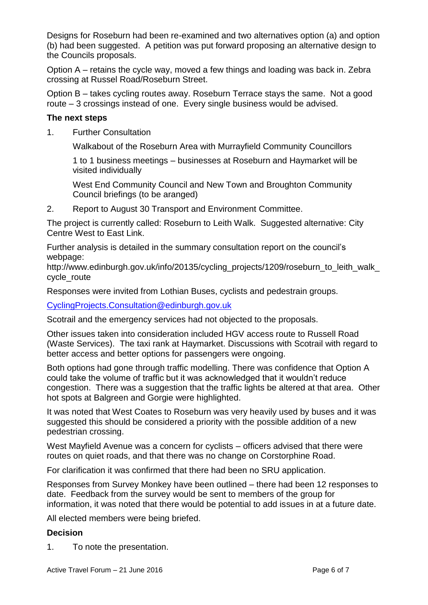Designs for Roseburn had been re-examined and two alternatives option (a) and option (b) had been suggested. A petition was put forward proposing an alternative design to the Councils proposals.

Option A – retains the cycle way, moved a few things and loading was back in. Zebra crossing at Russel Road/Roseburn Street.

Option B – takes cycling routes away. Roseburn Terrace stays the same. Not a good route – 3 crossings instead of one. Every single business would be advised.

#### **The next steps**

1. Further Consultation

Walkabout of the Roseburn Area with Murrayfield Community Councillors

1 to 1 business meetings – businesses at Roseburn and Haymarket will be visited individually

West End Community Council and New Town and Broughton Community Council briefings (to be aranged)

2. Report to August 30 Transport and Environment Committee.

The project is currently called: Roseburn to Leith Walk. Suggested alternative: City Centre West to East Link.

Further analysis is detailed in the summary consultation report on the council's webpage:

http://www.edinburgh.gov.uk/info/20135/cycling\_projects/1209/roseburn\_to\_leith\_walk\_ cycle\_route

Responses were invited from Lothian Buses, cyclists and pedestrain groups.

[CyclingProjects.Consultation@edinburgh.gov.uk](mailto:CyclingProjects.Consultation@edinburgh.gov.uk)

Scotrail and the emergency services had not objected to the proposals.

Other issues taken into consideration included HGV access route to Russell Road (Waste Services). The taxi rank at Haymarket. Discussions with Scotrail with regard to better access and better options for passengers were ongoing.

Both options had gone through traffic modelling. There was confidence that Option A could take the volume of traffic but it was acknowledged that it wouldn't reduce congestion. There was a suggestion that the traffic lights be altered at that area. Other hot spots at Balgreen and Gorgie were highlighted.

It was noted that West Coates to Roseburn was very heavily used by buses and it was suggested this should be considered a priority with the possible addition of a new pedestrian crossing.

West Mayfield Avenue was a concern for cyclists – officers advised that there were routes on quiet roads, and that there was no change on Corstorphine Road.

For clarification it was confirmed that there had been no SRU application.

Responses from Survey Monkey have been outlined – there had been 12 responses to date. Feedback from the survey would be sent to members of the group for information, it was noted that there would be potential to add issues in at a future date.

All elected members were being briefed.

#### **Decision**

1. To note the presentation.